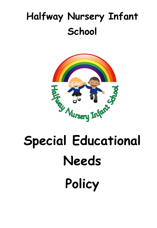# **Halfway Nursery Infant School**



# **Special Educational Needs Policy**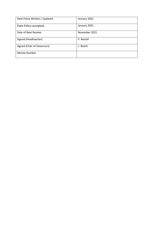| Date Policy Written / Updated: | January 2021  |
|--------------------------------|---------------|
| Date Policy accepted:          | January 2021  |
| Date of Next Review:           | November 2021 |
| Signed (Headteacher)           | P. Bestall    |
| Signed (Chair of Governors)    | L. Booth      |
| Minute Number                  |               |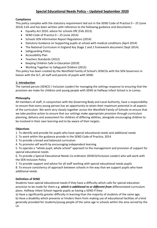# **Special Educational Needs Policy – Updated September 2020**

# **Compliance**

This policy complies with the statutory requirement laid out in the SEND Code of Practice  $0 - 25$  (June 2014) 3.65 and has been written with reference to the following guidance and documents:

- Equality Act 2010: advice for schools DfE (Feb 2013)
- SEND Code of Practice  $0 25$  (June 2014)
- Schools SEN Information Report Regulations (2014)
- Statutory Guidance on Supporting pupils at school with medical conditions (April 2014)
- The National Curriculum in England Key Stage 1 and 2 framework document (Sept 2014)
- Safeguarding Policy
- Accessibility Plan
- Teachers Standards (2012)
- Keeping Children Safe in Education (2019)
- Working Together to Safeguard Children (2015)

This policy has been created by the Westfield Family of School's SENCOs with the SEN Governors in liaison with the SLT, all staff and parents of pupils with SEND.

#### **1: Introduction**

The named person (SENCO / Inclusion Leader) for managing the settings response to ensuring that the provision we make for children and young people with SEND at Halfway Infant School is Jo Lomas.

#### **Philosophy**

All members of staff, in conjunction with the Governing Body and Local Authority, have a responsibility to ensure that every young person has an opportunity to attain their maximum potential in all aspects of the curriculum. We work very closely together across the Westfield Family of Schools to ensure that we take positive action to ensure that our settings make appropriate provision through curriculum planning, delivery and assessment for children of differing abilities, alongside encouraging children to be involved in their own learning and to be aware of their targets.

#### **Objectives**

1. To identify and provide for pupils who have special educational needs and additional needs

- 2. To work within the guidance provide in the SEND Code of Practice, 2014
- 3. To provide a broad and balanced curriculum
- 4. To promote self worth by encouraging independent learning

5. To operate a "whole pupil, whole school" approach to the management and provision of support for special educational needs

6. To provide a Special Educational Needs Co-ordinator (SENCO/Inclusion Leader) who will work with the SEN Inclusion Policy

7. To provide support and advice for all staff working with special educational needs pupils

8. To ensure consistency of approach between schools in the way that we support pupils who have additional needs.

# **Definition of SEND**

Students have special educational needs if they have a difficulty which calls for special education provision to be made for them e.g. *which is additional to or different from* differentiated curriculum plans. Halfway Infant School regards pupils as having a SEND if they:

a) Have a significantly greater difficulty in learning than the majority of students of the same age; b) Have a disability which prevents or hinders them from making use of educational facilities of a kind

generally provided for students/young people of the same age in schools within the area served by the LA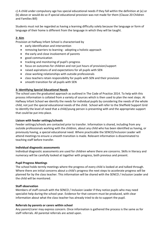c) A child under compulsory age has special educational needs if they fall within the definition at (a) or (b) above or would do so if special educational provision was not made for them (Clause 20 Children and Families Bill)

Students must not be regarded as having a learning difficulty solely because the language or form of language of their home is different from the language in which they will be taught.

# **2: Aim**

Provision at Halfway Infant School is characterised by

- early identification and intervention
- removing barriers to learning adopting a holistic approach
- the early and close involvement of parents
- good communication
- tracking and monitoring of pupil's progress
- focus on outcomes for children and not just hours of provision/support
- raised aspirations of and expectations for all pupils with SEN
- close working relationships with outside professionals
- class teachers retain responsibility for pupils with SEN and their provision
- smooth transition for all pupils with SEN

#### **3: Identifying Special Educational Needs**

The school uses the graduated approach as outlined in The Code of Practice 2014. To help with this process information is collated from a variety of sources which is then used to plan the next steps. At Halfway Infant School we identify the needs for individual pupils by considering the needs of the whole child, not just the special educational needs of the child. School will refer to the Sheffield Support Grid to identify the level of need that a child/young person is presenting with and the appropriate support that could be put into place.

#### **Liaison with feeder settings/schools**

Feeder settings/schools are contacted prior to transfer. Information is shared, including from any outside professionals working with the children, about any child who has been identified as having, or previously having, a special educational need. Where practicable the SENCO/Inclusion Leader will attend meetings to ensure a smooth transition is made. Relevant information is disseminated to teaching staff before transfer.

#### **Individual diagnostic assessments**

Individual diagnostic assessments are used for children where there are concerns. Skills in literacy and numeracy will be carefully looked at together with progress, both previous and present.

#### **Pupil Progress Meetings**

The school holds termly meetings where the progress of every child is looked at and talked through. Where there are initial concerns about a child's progress the next steps to accelerate progress will be planned for by the class teacher. This information will be shared with the SENCO / Inclusion Leader and the child will be monitored.

#### **Staff observation**

Members of staff consult with the SENCO / Inclusion Leader if they notice pupils who may need specialist help during the school year. Evidence for that concern must be produced, with clear information about what the class teacher has already tried to do to support the pupil.

#### **Referrals by parents or carers within school**

Any parent/carer may express concern. Once information is gathered the process is the same as for staff referrals. All parental referrals are acted upon.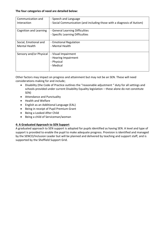#### **The four categories of need are detailed below:**

| Communication and       | - Speech and Language                                                   |
|-------------------------|-------------------------------------------------------------------------|
| Interaction             | - Social Communication (and including those with a diagnosis of Autism) |
| Cognition and Learning  | - General Learning Difficulties<br>- Specific Learning Difficulties     |
| Social, Emotional and   | - Emotional Regulation                                                  |
| <b>Mental Health</b>    | - Mental Health                                                         |
| Sensory and/or Physical | - Visual Impairment<br>- Hearing Impairment<br>- Physical<br>- Medical  |

Other factors may impact on progress and attainment but may not be an SEN. These will need considerations making for and include;

- Disability (the Code of Practice outlines the "reasonable adjustment " duty for all settings and schools provided under current Disability Equality legislation – these alone do not constitute SEN)
- Attendance and Punctuality
- Health and Welfare
- English as an Additional Language (EAL)
- Being in receipt of Pupil Premium Grant
- Being a Looked After Child
- Being a child of Serviceman/woman

# **4: A Graduated Approach to SEN Support**

A graduated approach to SEN support is adopted for pupils identified as having SEN. A level and type of support is provided to enable the pupil to make adequate progress. Provision is identified and managed by the SENCO/Inclusion Leader but will be planned and delivered by teaching and support staff, and is supported by the Sheffield Support Grid.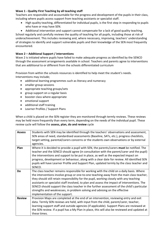# **Wave 1 - Quality First Teaching by all teaching staff**

Teachers are responsible and accountable for the progress and development of the pupils in their class, including where pupils access support from teaching assistants or specialist staff.

- High quality teaching, differentiated for individual pupils, is the first step in responding to pupils who have or may have SEN.
- Additional intervention and support cannot compensate for a lack of good quality teaching.

School regularly and carefully reviews the quality of teaching for all pupils, including those at risk of underachievement. This includes reviewing and, where necessary, improving, teachers' understanding of strategies to identify and support vulnerable pupils and their knowledge of the SEN most frequently encountered.

# **Wave 2 – Additional Support / interventions**

Wave 2 is initiated where pupils have failed to make adequate progress as identified by the SENCO through the assessment arrangements available in school. Teachers and parents agree to interventions that are additional to or different from the schools differentiated curriculum

Provision from within the schools resources is identified to help meet the student's needs. Interventions may include;

- additional learning programmes such as literacy and numeracy
- smaller group sessions
- appropriate teaching groups/sets
- group support on a regular basis
- booster class where appropriate
- emotional support
- additional staff training
- Learner Profiles / Support Plans

When a child is placed on the SEN register they are monitored through termly reviews. These reviews may be held more frequently than every term, depending on the needs of the individual pupil. These review cycle will follow the **assess, plan, do and review** cycle

| <b>Assess</b> | Students with SEN may be identified through the teachers' observations and assessment,<br>SEN areas of need, standardised assessments (Baseline, SATs, etc.), progress checklists,<br>target setting, parental/carers concerns or the students own observations or by external<br>agencies.                                                                                                                                                                                                                                                                                                    |
|---------------|------------------------------------------------------------------------------------------------------------------------------------------------------------------------------------------------------------------------------------------------------------------------------------------------------------------------------------------------------------------------------------------------------------------------------------------------------------------------------------------------------------------------------------------------------------------------------------------------|
| Plan          | Where it is decided to provide a pupil with SEN, the parents/carers must be notified. The<br>teacher and the SENCO should agree (in consultation with the parent/carer and the pupil)<br>the interventions and support to be put in place, as well as the expected impact on<br>progress, development or behaviour, along with a clear date for review. All identified SEN<br>pupils will have Learner Profile and Support Plan, updated termly by the class teacher and<br>SENCO.                                                                                                             |
| Do            | The class teacher remains responsible for working with the child on a daily basis. Where<br>the interventions involve group or one-to-one teaching away from the main class teacher,<br>they should still retain responsibility for the pupil, working closely with any teaching<br>assistants or specialist staff involved, to plan and assess the impact of interventions. The<br>SENCO should support the class teacher in the further assessment of the child's particular<br>strengths and weaknesses, in problem solving and advising on the effective<br>implementation of the support. |
| <b>Review</b> | Provision Maps are completed at the end of an intervention, reviewing entry and exit<br>data. Termly SEN reviews are held, with input from the child, parent/carer, teacher,<br>learning support staff and outside agencies (if applicable). Support Plans are reviewed at<br>the SEN review. If a pupil has a My Plan in place, this will also be reviewed and updated at<br>these times.                                                                                                                                                                                                     |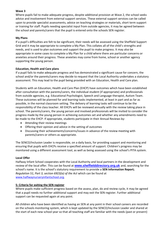## **Wave 3**

Where pupils fail to make adequate progress, despite additional provision at Wave 2, the school seeks advice and involvement from external support services. These external support services can be called upon to provide specialist assessments, advice on teaching strategies or materials, short term support or training for staff. Pupils needing specialist input from outside agencies, it may be agreed between the school and parents/carers that the pupil is entered onto the schools SEN register.

# **My Plans**

If a pupil's difficulties are felt to be significant, their needs will be assessed using the Sheffield Support Grid and it may be appropriate to complete a My Plan. This collates all of the child's strengths and needs, and is used to plan outcomes and support the pupil to make progress. It may also be appropriate in some cases to complete a My Plan for a child where there are particular concerns or anxieties around their progress. These anxieties may come from home, school or another agency supporting the young person.

# **Education, Health and Care plans**

If a pupil fails to make adequate progress and has demonstrated a significant cause for concern, the school and/or the parents/carers may decide to request that the Local Authority undertakes a statutory assessment. This may lead to the pupil being provided with an Education, Health and Care plan.

Students with an Education, Health and Care Plan (EHCP) have outcomes which have been established after consultation with the parents/carers, the individual student (if appropriate) and professionals from outside agencies, e.g. Educational Psychologist, Speech and Language therapist, Autism Team. These outcomes will be planned for and learning tasks implemented, at least in part and as far as possible, in the normal classroom setting. The delivery of learning tasks will continue to be the responsibility of the class teacher. All EHCPs will be reviewed annually with the review taking place in school. The parents/carers, the young person and involved professionals will be invited to consider the progress made by the young person in achieving outcomes set and whether any amendments need to be made to the EHCP. If appropriate, students participate in their Annual Reviews by:

- Attending their review meetings
- Offering their opinion and advice in the setting of outcomes
- Discussing their achievements/concerns/issues in advance of the review meeting with parents/carers or others as appropriate.

The SENCO/Inclusion Leader is responsible, on a daily basis, for providing support and monitoring and ensuring that pupils with EHCPs receive a specified amount of support. Children's progress may be monitored using a different assessment tool, as well as being assessed using the school's PITA system.

# **Local Offer**

Halfway Infant School cooperates with the Local Authority and local partners in the development and review of the local offer. This can be found at **[www.sheffielddirectory.org.uk](http://www.sheffielddirectory.org.uk/)** and, searching for the school's name. It is the school's statutory requirement to provide a **SEN Information Report;**  *Regulation 51, Part 3, section 69(3)(a) of the Act* which can be found at [www.halfwaynurseryinfantschool.org.](http://www.halfwaynurseryinfantschool.org/)

# **5: Criteria for exiting the SEN register**

Where pupils make sufficient progress based on the assess, plan, do and review cycle, it may be agreed that a pupil needs no further additional support and may exit the SEN register. Further additional support can be requested again at any point.

All children who have been identified as having an SEN at any point in their school careers are recorded on the schools monitoring system, which is kept updated by the SENCO/Inclusion Leader and shared at the start of each new school year so that all teaching staff are familiar with the needs (past or present)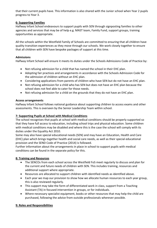that their current pupils have. This information is also shared with the Junior school when Year 2 pupils progress to Year 3.

# **6: Supporting Families**

Halfway Infant School endeavours to support pupils with SEN through signposting families to other agencies and services that may be of help e.g. MAST team, Family Fund, support groups, training opportunities as appropriate.

All the schools within the Westfield Family of Schools are committed to ensuring that all children have quality transition experiences as they move through our schools. We work closely together to ensure that all children with SEN have bespoke packages of support at this time.

#### **Admissions**

Halfway Infant School will ensure it meets its duties under the Schools Admissions Code of Practice by:

- Not refusing admission for a child that has named the school in their EHC plan.
- Adopting fair practices and arrangements in accordance with the Schools Admission Code for the admission of children without an EHC plan.
- Considering applications from parents of children who have SEN but do not have an EHC plan.
- Not refusing admission for a child who has SEN but does not have an EHC plan because the school does not feel able to cater for those needs.
- Not refusing admission for a child on the grounds that they do not have an EHC plan.

#### **Access arrangements**

Halfway Infant School follows national guidance about supporting children to access exams and other assessments. This is overseen by the Senior Leadership Team within school.

#### **7: Supporting Pupils at School with Medical Conditions**

The school recognises that pupils at school with medical conditions should be properly supported so that they have full access to education, including school trips and physical education. Some children with medical conditions may be disabled and where this is the case the school will comply with its duties under the Equality Act 2010.

Some may also have special educational needs (SEN) and may have an Education, Health and Care (EHC) plan which brings together health and social care needs, as well as their special educational provision and the SEND Code of Practice (2014) is followed.

Further information about the arrangements in place in school to support pupils with medical conditions can be found in the separate policy for this.

#### **8: Training and Resources**

- The SENCOs from each school across the Westfield FoS meet regularly to discuss and plan for the current and future needs of children with SEN. This includes training, resources and additional support where appropriate.
- Resources are allocated to support children with identified needs as identified above.
- Each year we map our provision to show how we allocate human resources to each year group, this is also reviewed regularly.
- This support may take the form of differentiated work in class, support from a Teaching Assistant (TA) in focused intervention in groups, or for individuals.
- Where necessary specialist equipment, books or other resources that may help the child are purchased, following the advice from outside professionals wherever possible.

# **9: Roles and Responsibilities**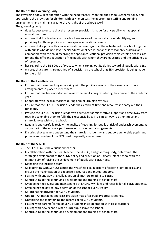# **The Role of the Governing Body**

The governing body, in cooperation with the head teacher, monitors the school's general policy and approach to the provision for children with SEN, monitors the appropriate staffing and funding arrangements and maintains a general oversight of the schools work.

The governing body:

- does its best to ensure that the necessary provision is made for any pupil who has special educational needs.
- ensures that the teachers in the school are aware of the importance of identifying, and providing for, those pupils who have special educational needs
- ensures that a pupil with special educational needs joins in the activities of the school together with pupils who do not have special educational needs, so far as is reasonably practical and compatible with the child receiving the special educational provision their learning needs class for and the efficient education of the pupils with whom they are educated and the efficient use of resources
- has regard to the SEN Code of Practice when carrying out its duties toward all pupils with SEN.
- ensures that parents are notified of a decision by the school that SEN provision is being made for the child

# **The Role of the Headteacher**

- Ensure that those teaching or working with the pupil are aware of their needs, and have arrangements in place to meet them
- Ensure that teachers monitor and review the pupil's progress during the course of the academic year.
- Cooperate with local authorities during annual EHC plan reviews.
- Ensure that the SENCO/Inclusion Leader has sufficient time and resources to carry out their functions.
- Provide the SENCO/Inclusion Leader with sufficient administrative support and time away from teaching to enable them to fulfil their responsibilities in a similar way to other important strategic roles within the school.
- Regularly and carefully review the quality of teaching for pupils at risk of underachievement, as a core part of the school's performance management arrangements.
- Ensuring that teachers understand the strategies to identify and support vulnerable pupils and possess knowledge of the SEN most frequently encountered.

# **The Role of the SENCO**

- The SENCO must be a qualified teacher.
- In collaboration with the Headteacher, the SENCO, and governing body, determines the strategic development of the SEND policy and provision at Halfway Infant School with the ultimate aim of raising the achievement of pupils with SEND need.
- Managing the Inclusion team.
- Collaborating with SENCOs across the Westfield FoS in order to facilitate joint policies, and ensure the maximisation of expertise, resources and mutual support.
- Liaising with and advising colleagues on all matters relating to SEND.
- Contributing to the continuing development and training of school staff
- Overseeing the review and maintenance of EHCPs, My Plans and records for all SEND students.
- Overseeing the day-to-day operation of the school's SEND Policy.
- Co-ordinating provision for SEND students.
- Update TA timetables and class provision map after Pupil Progress Meetings.
- Organising and maintaining the records of all SEND students.
- Liaising with parents/carers of SEND students in co-operation with class teachers
- Liaising with new schools when SEND pupils leave the school.
- Contributing to the continuing development and training of school staff.